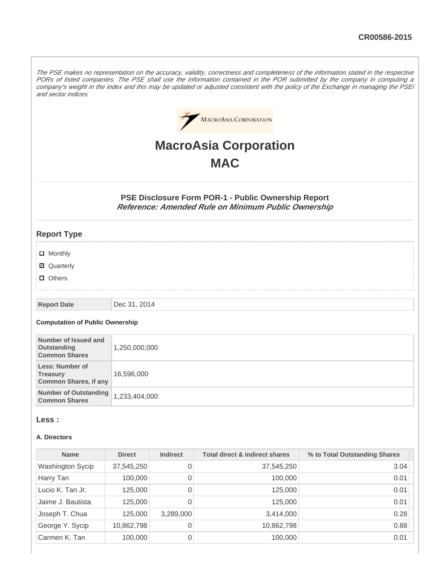The PSE makes no representation on the accuracy, validity, correctness and completeness of the information stated in the respective PORs of listed companies. The PSE shall use the information contained in the POR submitted by the company in computing a company's weight in the index and this may be updated or adjusted consistent with the policy of the Exchange in managing the PSEi and sector indices.



# **MacroAsia Corporation MAC**

**PSE Disclosure Form POR-1 - Public Ownership Report Reference: Amended Rule on Minimum Public Ownership**

# **Report Type**

- **D** Monthly
- Quarterly
- **D** Others

#### **Report Date** Dec 31, 2014

### **Computation of Public Ownership**

| Number of Issued and<br>Outstanding<br><b>Common Shares</b>        | 1,250,000,000 |
|--------------------------------------------------------------------|---------------|
| Less: Number of<br><b>Treasury</b><br><b>Common Shares, if any</b> | 16,596,000    |
| Number of Outstanding<br><b>Common Shares</b>                      | 1,233,404,000 |

## **Less :**

#### **A. Directors**

| <b>Name</b>             | <b>Direct</b> | <b>Indirect</b> | <b>Total direct &amp; indirect shares</b> | % to Total Outstanding Shares |
|-------------------------|---------------|-----------------|-------------------------------------------|-------------------------------|
| <b>Washington Sycip</b> | 37,545,250    | 0               | 37,545,250                                | 3.04                          |
| Harry Tan               | 100,000       | 0               | 100,000                                   | 0.01                          |
| Lucio K. Tan Jr.        | 125,000       | 0               | 125,000                                   | 0.01                          |
| Jaime J. Bautista       | 125,000       | 0               | 125,000                                   | 0.01                          |
| Joseph T. Chua          | 125,000       | 3,289,000       | 3,414,000                                 | 0.28                          |
| George Y. Sycip         | 10,862,798    | 0               | 10,862,798                                | 0.88                          |
| Carmen K. Tan           | 100,000       | 0               | 100,000                                   | 0.01                          |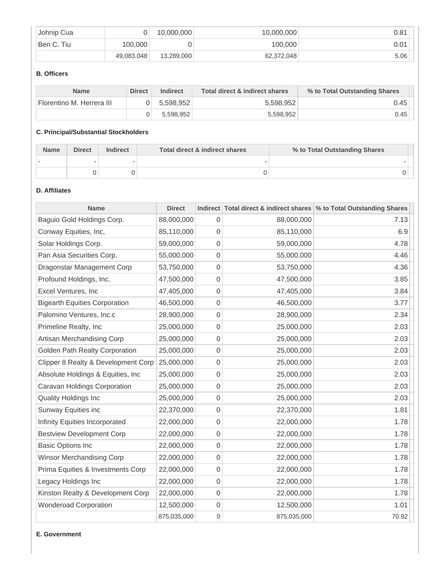| Johnip Cua |            | 10,000,000 | 10,000,000 | 0.81 |
|------------|------------|------------|------------|------|
| Ben C. Tiu | 100.000    |            | 100,000    | 0.01 |
|            | 49,083,048 | 13,289,000 | 62,372,048 | 5.06 |

# **B. Officers**

| <b>Name</b>               | <b>Direct</b> | <b>Indirect</b> | Total direct & indirect shares | % to Total Outstanding Shares |
|---------------------------|---------------|-----------------|--------------------------------|-------------------------------|
| Florentino M. Herrera III |               | 5.598.952       | 5.598.952                      | 0.45                          |
|                           |               | 5.598.952       | 5,598,952                      | 0.45                          |

# **C. Principal/Substantial Stockholders**

| <b>Name</b> | <b>Direct</b> | <b>Indirect</b> | Total direct & indirect shares | % to Total Outstanding Shares |  |
|-------------|---------------|-----------------|--------------------------------|-------------------------------|--|
|             |               |                 |                                |                               |  |
|             |               |                 |                                |                               |  |

# **D. Affiliates**

| <b>Name</b>                          | <b>Direct</b> |                     |             | Indirect Total direct & indirect shares % to Total Outstanding Shares |
|--------------------------------------|---------------|---------------------|-------------|-----------------------------------------------------------------------|
| Baguio Gold Holdings Corp.           | 88,000,000    | 0                   | 88,000,000  | 7.13                                                                  |
| Conway Equities, Inc,                | 85,110,000    | 0                   | 85,110,000  | 6.9                                                                   |
| Solar Holdings Corp.                 | 59,000,000    | $\overline{0}$      | 59,000,000  | 4.78                                                                  |
| Pan Asia Securities Corp.            | 55,000,000    | 0                   | 55,000,000  | 4.46                                                                  |
| Dragonstar Management Corp           | 53,750,000    | 0                   | 53,750,000  | 4.36                                                                  |
| Profound Holdings, Inc.              | 47,500,000    | 0                   | 47,500,000  | 3.85                                                                  |
| Excel Ventures, Inc                  | 47,405,000    | 0                   | 47,405,000  | 3.84                                                                  |
| <b>Bigearth Equities Corporation</b> | 46,500,000    | 0                   | 46,500,000  | 3.77                                                                  |
| Palomino Ventures, Inc.c             | 28,900,000    | 0                   | 28,900,000  | 2.34                                                                  |
| Primeline Realty, Inc                | 25,000,000    | 0                   | 25,000,000  | 2.03                                                                  |
| Artisan Merchandising Corp           | 25,000,000    | 0                   | 25,000,000  | 2.03                                                                  |
| Golden Path Realty Corporation       | 25,000,000    | $\overline{0}$      | 25,000,000  | 2.03                                                                  |
| Clipper 8 Realty & Development Corp  | 25,000,000    | 0                   | 25,000,000  | 2.03                                                                  |
| Absolute Holdings & Equities, Inc    | 25,000,000    | 0                   | 25,000,000  | 2.03                                                                  |
| Caravan Holdings Corporation         | 25,000,000    | $\mathsf{O}\xspace$ | 25,000,000  | 2.03                                                                  |
| Quality Holdings Inc                 | 25,000,000    | $\mathbf 0$         | 25,000,000  | 2.03                                                                  |
| Sunway Equities inc                  | 22,370,000    | $\overline{0}$      | 22,370,000  | 1.81                                                                  |
| Infinity Equities Incorporated       | 22,000,000    | 0                   | 22,000,000  | 1.78                                                                  |
| <b>Bestview Development Corp</b>     | 22,000,000    | 0                   | 22,000,000  | 1.78                                                                  |
| <b>Basic Options Inc</b>             | 22,000,000    | $\boldsymbol{0}$    | 22,000,000  | 1.78                                                                  |
| Winsor Merchandising Corp            | 22,000,000    | $\mathbf 0$         | 22,000,000  | 1.78                                                                  |
| Prima Equities & Investments Corp    | 22,000,000    | 0                   | 22,000,000  | 1.78                                                                  |
| Legacy Holdings Inc                  | 22,000,000    | 0                   | 22,000,000  | 1.78                                                                  |
| Kinston Realty & Development Corp    | 22,000,000    | 0                   | 22,000,000  | 1.78                                                                  |
| <b>Wonderoad Corporation</b>         | 12,500,000    | $\boldsymbol{0}$    | 12,500,000  | 1.01                                                                  |
|                                      | 875,035,000   | 0                   | 875,035,000 | 70.92                                                                 |

**E. Government**